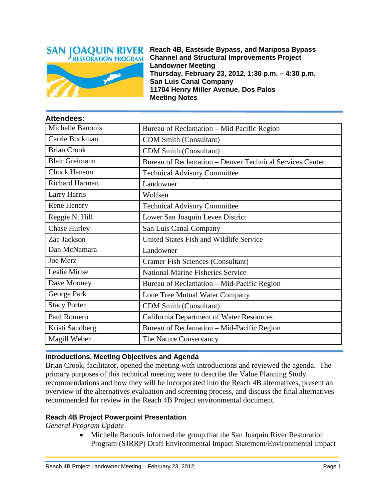

**Attendees:**

**Reach 4B, Eastside Bypass, and Mariposa Bypass Channel and Structural Improvements Project Landowner Meeting Thursday, February 23, 2012, 1:30 p.m. – 4:30 p.m. San Luis Canal Company 11704 Henry Miller Avenue, Dos Palos Meeting Notes**

| <b>Attendees:</b>     |                                                          |
|-----------------------|----------------------------------------------------------|
| Michelle Banonis      | Bureau of Reclamation – Mid Pacific Region               |
| Carrie Buckman        | <b>CDM Smith (Consultant)</b>                            |
| <b>Brian Crook</b>    | <b>CDM Smith (Consultant)</b>                            |
| <b>Blair Greimann</b> | Bureau of Reclamation - Denver Technical Services Center |
| <b>Chuck Hanson</b>   | <b>Technical Advisory Committee</b>                      |
| Richard Harman        | Landowner                                                |
| Larry Harris          | Wolfsen                                                  |
| Rene Henery           | <b>Technical Advisory Committee</b>                      |
| Reggie N. Hill        | Lower San Joaquin Levee District                         |
| <b>Chase Hurley</b>   | San Luis Canal Company                                   |
| Zac Jackson           | United States Fish and Wildlife Service                  |
| Dan McNamara          | Landowner                                                |
| Joe Merz              | <b>Cramer Fish Sciences (Consultant)</b>                 |
| Leslie Mirise         | <b>National Marine Fisheries Service</b>                 |
| Dave Mooney           | Bureau of Reclamation - Mid-Pacific Region               |
| George Park           | Lone Tree Mutual Water Company                           |
| <b>Stacy Porter</b>   | <b>CDM Smith (Consultant)</b>                            |
| Paul Romero           | <b>California Department of Water Resources</b>          |
| Kristi Sandberg       | Bureau of Reclamation – Mid-Pacific Region               |
| Magill Weber          | The Nature Conservancy                                   |

## **Introductions, Meeting Objectives and Agenda**

Brian Crook, facilitator, opened the meeting with introductions and reviewed the agenda. The primary purposes of this technical meeting were to describe the Value Planning Study recommendations and how they will be incorporated into the Reach 4B alternatives, present an overview of the alternatives evaluation and screening process, and discuss the final alternatives recommended for review in the Reach 4B Project environmental document.

#### **Reach 4B Project Powerpoint Presentation**

*General Program Update* 

• Michelle Banonis informed the group that the San Joaquin River Restoration Program (SJRRP) Draft Environmental Impact Statement/Environmental Impact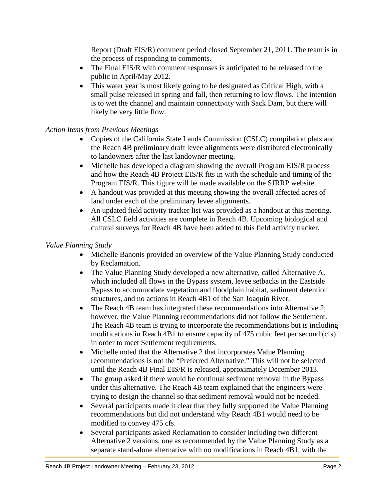Report (Draft EIS/R) comment period closed September 21, 2011. The team is in the process of responding to comments.

- The Final EIS/R with comment responses is anticipated to be released to the public in April/May 2012.
- This water year is most likely going to be designated as Critical High, with a small pulse released in spring and fall, then returning to low flows. The intention is to wet the channel and maintain connectivity with Sack Dam, but there will likely be very little flow.

# *Action Items from Previous Meetings*

- Copies of the California State Lands Commission (CSLC) compilation plats and the Reach 4B preliminary draft levee alignments were distributed electronically to landowners after the last landowner meeting.
- Michelle has developed a diagram showing the overall Program EIS/R process and how the Reach 4B Project EIS/R fits in with the schedule and timing of the Program EIS/R. This figure will be made available on the SJRRP website.
- A handout was provided at this meeting showing the overall affected acres of land under each of the preliminary levee alignments.
- An updated field activity tracker list was provided as a handout at this meeting. All CSLC field activities are complete in Reach 4B. Upcoming biological and cultural surveys for Reach 4B have been added to this field activity tracker.

## *Value Planning Study*

- Michelle Banonis provided an overview of the Value Planning Study conducted by Reclamation.
- The Value Planning Study developed a new alternative, called Alternative A, which included all flows in the Bypass system, levee setbacks in the Eastside Bypass to accommodate vegetation and floodplain habitat, sediment detention structures, and no actions in Reach 4B1 of the San Joaquin River.
- The Reach 4B team has integrated these recommendations into Alternative 2; however, the Value Planning recommendations did not follow the Settlement. The Reach 4B team is trying to incorporate the recommendations but is including modifications in Reach 4B1 to ensure capacity of 475 cubic feet per second (cfs) in order to meet Settlement requirements.
- Michelle noted that the Alternative 2 that incorporates Value Planning recommendations is not the "Preferred Alternative." This will not be selected until the Reach 4B Final EIS/R is released, approximately December 2013.
- The group asked if there would be continual sediment removal in the Bypass under this alternative. The Reach 4B team explained that the engineers were trying to design the channel so that sediment removal would not be needed.
- Several participants made it clear that they fully supported the Value Planning recommendations but did not understand why Reach 4B1 would need to be modified to convey 475 cfs.
- Several participants asked Reclamation to consider including two different Alternative 2 versions, one as recommended by the Value Planning Study as a separate stand-alone alternative with no modifications in Reach 4B1, with the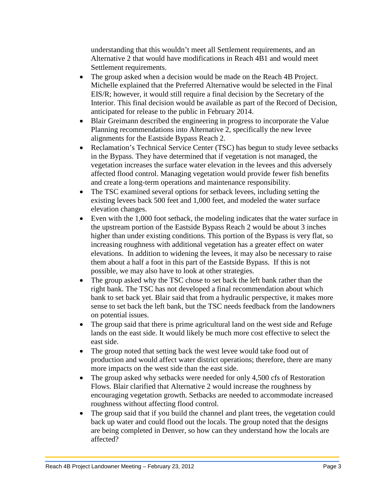understanding that this wouldn't meet all Settlement requirements, and an Alternative 2 that would have modifications in Reach 4B1 and would meet Settlement requirements.

- The group asked when a decision would be made on the Reach 4B Project. Michelle explained that the Preferred Alternative would be selected in the Final EIS/R; however, it would still require a final decision by the Secretary of the Interior. This final decision would be available as part of the Record of Decision, anticipated for release to the public in February 2014.
- Blair Greimann described the engineering in progress to incorporate the Value Planning recommendations into Alternative 2, specifically the new levee alignments for the Eastside Bypass Reach 2.
- Reclamation's Technical Service Center (TSC) has begun to study levee setbacks in the Bypass. They have determined that if vegetation is not managed, the vegetation increases the surface water elevation in the levees and this adversely affected flood control. Managing vegetation would provide fewer fish benefits and create a long-term operations and maintenance responsibility.
- The TSC examined several options for setback levees, including setting the existing levees back 500 feet and 1,000 feet, and modeled the water surface elevation changes.
- Even with the 1,000 foot setback, the modeling indicates that the water surface in the upstream portion of the Eastside Bypass Reach 2 would be about 3 inches higher than under existing conditions. This portion of the Bypass is very flat, so increasing roughness with additional vegetation has a greater effect on water elevations. In addition to widening the levees, it may also be necessary to raise them about a half a foot in this part of the Eastside Bypass. If this is not possible, we may also have to look at other strategies.
- The group asked why the TSC chose to set back the left bank rather than the right bank. The TSC has not developed a final recommendation about which bank to set back yet. Blair said that from a hydraulic perspective, it makes more sense to set back the left bank, but the TSC needs feedback from the landowners on potential issues.
- The group said that there is prime agricultural land on the west side and Refuge lands on the east side. It would likely be much more cost effective to select the east side.
- The group noted that setting back the west levee would take food out of production and would affect water district operations; therefore, there are many more impacts on the west side than the east side.
- The group asked why setbacks were needed for only 4,500 cfs of Restoration Flows. Blair clarified that Alternative 2 would increase the roughness by encouraging vegetation growth. Setbacks are needed to accommodate increased roughness without affecting flood control.
- The group said that if you build the channel and plant trees, the vegetation could back up water and could flood out the locals. The group noted that the designs are being completed in Denver, so how can they understand how the locals are affected?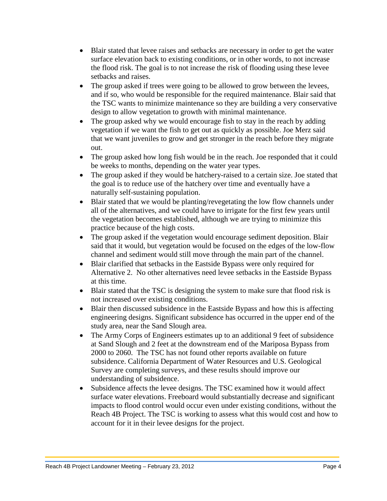- Blair stated that levee raises and setbacks are necessary in order to get the water surface elevation back to existing conditions, or in other words, to not increase the flood risk. The goal is to not increase the risk of flooding using these levee setbacks and raises.
- The group asked if trees were going to be allowed to grow between the levees, and if so, who would be responsible for the required maintenance. Blair said that the TSC wants to minimize maintenance so they are building a very conservative design to allow vegetation to growth with minimal maintenance.
- The group asked why we would encourage fish to stay in the reach by adding vegetation if we want the fish to get out as quickly as possible. Joe Merz said that we want juveniles to grow and get stronger in the reach before they migrate out.
- The group asked how long fish would be in the reach. Joe responded that it could be weeks to months, depending on the water year types.
- The group asked if they would be hatchery-raised to a certain size. Joe stated that the goal is to reduce use of the hatchery over time and eventually have a naturally self-sustaining population.
- Blair stated that we would be planting/revegetating the low flow channels under all of the alternatives, and we could have to irrigate for the first few years until the vegetation becomes established, although we are trying to minimize this practice because of the high costs.
- The group asked if the vegetation would encourage sediment deposition. Blair said that it would, but vegetation would be focused on the edges of the low-flow channel and sediment would still move through the main part of the channel.
- Blair clarified that setbacks in the Eastside Bypass were only required for Alternative 2. No other alternatives need levee setbacks in the Eastside Bypass at this time.
- Blair stated that the TSC is designing the system to make sure that flood risk is not increased over existing conditions.
- Blair then discussed subsidence in the Eastside Bypass and how this is affecting engineering designs. Significant subsidence has occurred in the upper end of the study area, near the Sand Slough area.
- The Army Corps of Engineers estimates up to an additional 9 feet of subsidence at Sand Slough and 2 feet at the downstream end of the Mariposa Bypass from 2000 to 2060. The TSC has not found other reports available on future subsidence. California Department of Water Resources and U.S. Geological Survey are completing surveys, and these results should improve our understanding of subsidence.
- Subsidence affects the levee designs. The TSC examined how it would affect surface water elevations. Freeboard would substantially decrease and significant impacts to flood control would occur even under existing conditions, without the Reach 4B Project. The TSC is working to assess what this would cost and how to account for it in their levee designs for the project.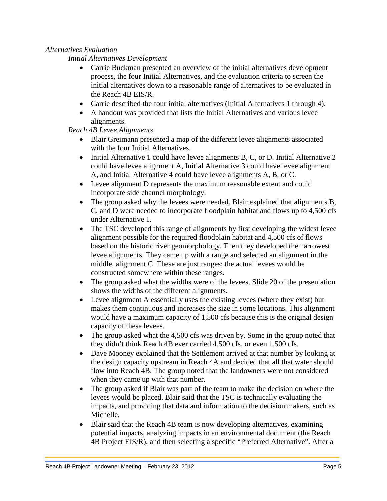## *Alternatives Evaluation*

*Initial Alternatives Development*

- Carrie Buckman presented an overview of the initial alternatives development process, the four Initial Alternatives, and the evaluation criteria to screen the initial alternatives down to a reasonable range of alternatives to be evaluated in the Reach 4B EIS/R.
- Carrie described the four initial alternatives (Initial Alternatives 1 through 4).
- A handout was provided that lists the Initial Alternatives and various levee alignments.

# *Reach 4B Levee Alignments*

- Blair Greimann presented a map of the different levee alignments associated with the four Initial Alternatives.
- Initial Alternative 1 could have levee alignments B, C, or D. Initial Alternative 2 could have levee alignment A, Initial Alternative 3 could have levee alignment A, and Initial Alternative 4 could have levee alignments A, B, or C.
- Levee alignment D represents the maximum reasonable extent and could incorporate side channel morphology.
- The group asked why the levees were needed. Blair explained that alignments B, C, and D were needed to incorporate floodplain habitat and flows up to 4,500 cfs under Alternative 1.
- The TSC developed this range of alignments by first developing the widest levee alignment possible for the required floodplain habitat and 4,500 cfs of flows based on the historic river geomorphology. Then they developed the narrowest levee alignments. They came up with a range and selected an alignment in the middle, alignment C. These are just ranges; the actual levees would be constructed somewhere within these ranges.
- The group asked what the widths were of the levees. Slide 20 of the presentation shows the widths of the different alignments.
- Levee alignment A essentially uses the existing levees (where they exist) but makes them continuous and increases the size in some locations. This alignment would have a maximum capacity of 1,500 cfs because this is the original design capacity of these levees.
- The group asked what the 4,500 cfs was driven by. Some in the group noted that they didn't think Reach 4B ever carried 4,500 cfs, or even 1,500 cfs.
- Dave Mooney explained that the Settlement arrived at that number by looking at the design capacity upstream in Reach 4A and decided that all that water should flow into Reach 4B. The group noted that the landowners were not considered when they came up with that number.
- The group asked if Blair was part of the team to make the decision on where the levees would be placed. Blair said that the TSC is technically evaluating the impacts, and providing that data and information to the decision makers, such as Michelle.
- Blair said that the Reach 4B team is now developing alternatives, examining potential impacts, analyzing impacts in an environmental document (the Reach 4B Project EIS/R), and then selecting a specific "Preferred Alternative". After a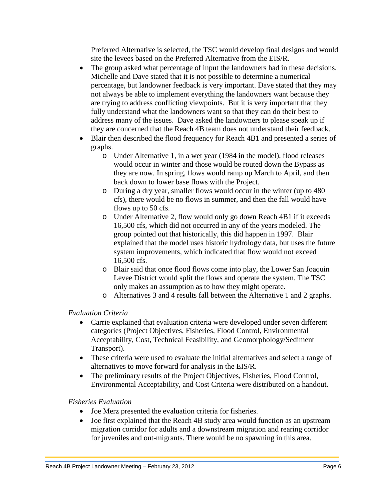Preferred Alternative is selected, the TSC would develop final designs and would site the levees based on the Preferred Alternative from the EIS/R.

- The group asked what percentage of input the landowners had in these decisions. Michelle and Dave stated that it is not possible to determine a numerical percentage, but landowner feedback is very important. Dave stated that they may not always be able to implement everything the landowners want because they are trying to address conflicting viewpoints. But it is very important that they fully understand what the landowners want so that they can do their best to address many of the issues. Dave asked the landowners to please speak up if they are concerned that the Reach 4B team does not understand their feedback.
- Blair then described the flood frequency for Reach 4B1 and presented a series of graphs.
	- o Under Alternative 1, in a wet year (1984 in the model), flood releases would occur in winter and those would be routed down the Bypass as they are now. In spring, flows would ramp up March to April, and then back down to lower base flows with the Project.
	- o During a dry year, smaller flows would occur in the winter (up to 480 cfs), there would be no flows in summer, and then the fall would have flows up to 50 cfs.
	- o Under Alternative 2, flow would only go down Reach 4B1 if it exceeds 16,500 cfs, which did not occurred in any of the years modeled. The group pointed out that historically, this did happen in 1997. Blair explained that the model uses historic hydrology data, but uses the future system improvements, which indicated that flow would not exceed 16,500 cfs.
	- o Blair said that once flood flows come into play, the Lower San Joaquin Levee District would split the flows and operate the sy*s*tem. The TSC only makes an assumption as to how they might operate.
	- o Alternatives 3 and 4 results fall between the Alternative 1 and 2 graphs.

## *Evaluation Criteria*

- Carrie explained that evaluation criteria were developed under seven different categories (Project Objectives, Fisheries, Flood Control, Environmental Acceptability, Cost, Technical Feasibility, and Geomorphology/Sediment Transport).
- These criteria were used to evaluate the initial alternatives and select a range of alternatives to move forward for analysis in the EIS/R.
- The preliminary results of the Project Objectives, Fisheries, Flood Control, Environmental Acceptability, and Cost Criteria were distributed on a handout.

## *Fisheries Evaluation*

- Joe Merz presented the evaluation criteria for fisheries.
- Joe first explained that the Reach 4B study area would function as an upstream migration corridor for adults and a downstream migration and rearing corridor for juveniles and out-migrants. There would be no spawning in this area.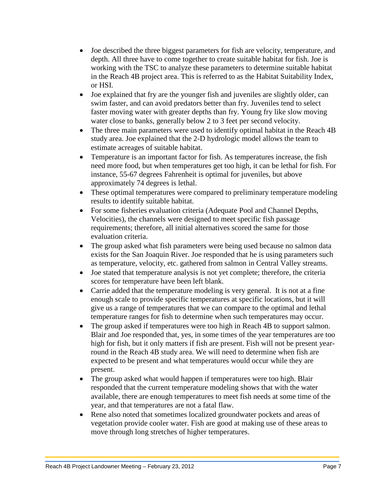- Joe described the three biggest parameters for fish are velocity, temperature, and depth. All three have to come together to create suitable habitat for fish. Joe is working with the TSC to analyze these parameters to determine suitable habitat in the Reach 4B project area. This is referred to as the Habitat Suitability Index, or HSI.
- Joe explained that fry are the younger fish and juveniles are slightly older, can swim faster, and can avoid predators better than fry. Juveniles tend to select faster moving water with greater depths than fry. Young fry like slow moving water close to banks, generally below 2 to 3 feet per second velocity.
- The three main parameters were used to identify optimal habitat in the Reach 4B study area. Joe explained that the 2-D hydrologic model allows the team to estimate acreages of suitable habitat.
- Temperature is an important factor for fish. As temperatures increase, the fish need more food, but when temperatures get too high, it can be lethal for fish. For instance, 55-67 degrees Fahrenheit is optimal for juveniles, but above approximately 74 degrees is lethal.
- These optimal temperatures were compared to preliminary temperature modeling results to identify suitable habitat.
- For some fisheries evaluation criteria (Adequate Pool and Channel Depths, Velocities), the channels were designed to meet specific fish passage requirements; therefore, all initial alternatives scored the same for those evaluation criteria.
- The group asked what fish parameters were being used because no salmon data exists for the San Joaquin River. Joe responded that he is using parameters such as temperature, velocity, etc. gathered from salmon in Central Valley streams.
- Joe stated that temperature analysis is not yet complete; therefore, the criteria scores for temperature have been left blank.
- Carrie added that the temperature modeling is very general. It is not at a fine enough scale to provide specific temperatures at specific locations, but it will give us a range of temperatures that we can compare to the optimal and lethal temperature ranges for fish to determine when such temperatures may occur.
- The group asked if temperatures were too high in Reach 4B to support salmon. Blair and Joe responded that, yes, in some times of the year temperatures are too high for fish, but it only matters if fish are present. Fish will not be present yearround in the Reach 4B study area. We will need to determine when fish are expected to be present and what temperatures would occur while they are present.
- The group asked what would happen if temperatures were too high. Blair responded that the current temperature modeling shows that with the water available, there are enough temperatures to meet fish needs at some time of the year, and that temperatures are not a fatal flaw.
- Rene also noted that sometimes localized groundwater pockets and areas of vegetation provide cooler water. Fish are good at making use of these areas to move through long stretches of higher temperatures.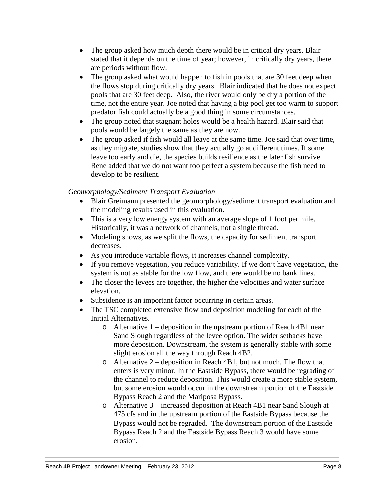- The group asked how much depth there would be in critical dry years. Blair stated that it depends on the time of year; however, in critically dry years, there are periods without flow.
- The group asked what would happen to fish in pools that are 30 feet deep when the flows stop during critically dry years. Blair indicated that he does not expect pools that are 30 feet deep. Also, the river would only be dry a portion of the time, not the entire year. Joe noted that having a big pool get too warm to support predator fish could actually be a good thing in some circumstances.
- The group noted that stagnant holes would be a health hazard. Blair said that pools would be largely the same as they are now.
- The group asked if fish would all leave at the same time. Joe said that over time, as they migrate, studies show that they actually go at different times. If some leave too early and die, the species builds resilience as the later fish survive. Rene added that we do not want too perfect a system because the fish need to develop to be resilient.

## *Geomorphology/Sediment Transport Evaluation*

- Blair Greimann presented the geomorphology/sediment transport evaluation and the modeling results used in this evaluation.
- This is a very low energy system with an average slope of 1 foot per mile. Historically, it was a network of channels, not a single thread.
- Modeling shows, as we split the flows, the capacity for sediment transport decreases.
- As you introduce variable flows, it increases channel complexity.
- If you remove vegetation, you reduce variability. If we don't have vegetation, the system is not as stable for the low flow, and there would be no bank lines.
- The closer the levees are together, the higher the velocities and water surface elevation.
- Subsidence is an important factor occurring in certain areas.
- The TSC completed extensive flow and deposition modeling for each of the Initial Alternatives.
	- o Alternative 1 deposition in the upstream portion of Reach 4B1 near Sand Slough regardless of the levee option. The wider setbacks have more deposition. Downstream, the system is generally stable with some slight erosion all the way through Reach 4B2.
	- o Alternative 2 deposition in Reach 4B1, but not much. The flow that enters is very minor. In the Eastside Bypass, there would be regrading of the channel to reduce deposition. This would create a more stable system, but some erosion would occur in the downstream portion of the Eastside Bypass Reach 2 and the Mariposa Bypass.
	- o Alternative 3 increased deposition at Reach 4B1 near Sand Slough at 475 cfs and in the upstream portion of the Eastside Bypass because the Bypass would not be regraded. The downstream portion of the Eastside Bypass Reach 2 and the Eastside Bypass Reach 3 would have some erosion.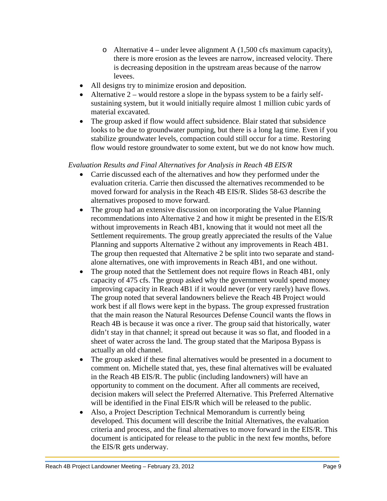- o Alternative  $4$  under levee alignment A (1,500 cfs maximum capacity), there is more erosion as the levees are narrow, increased velocity. There is decreasing deposition in the upstream areas because of the narrow levees.
- All designs try to minimize erosion and deposition.
- Alternative  $2 -$  would restore a slope in the bypass system to be a fairly selfsustaining system, but it would initially require almost 1 million cubic yards of material excavated.
- The group asked if flow would affect subsidence. Blair stated that subsidence looks to be due to groundwater pumping, but there is a long lag time. Even if you stabilize groundwater levels, compaction could still occur for a time. Restoring flow would restore groundwater to some extent, but we do not know how much.

## *Evaluation Results and Final Alternatives for Analysis in Reach 4B EIS/R*

- Carrie discussed each of the alternatives and how they performed under the evaluation criteria. Carrie then discussed the alternatives recommended to be moved forward for analysis in the Reach 4B EIS/R. Slides 58-63 describe the alternatives proposed to move forward.
- The group had an extensive discussion on incorporating the Value Planning recommendations into Alternative 2 and how it might be presented in the EIS/R without improvements in Reach 4B1, knowing that it would not meet all the Settlement requirements. The group greatly appreciated the results of the Value Planning and supports Alternative 2 without any improvements in Reach 4B1. The group then requested that Alternative 2 be split into two separate and standalone alternatives, one with improvements in Reach 4B1, and one without.
- The group noted that the Settlement does not require flows in Reach 4B1, only capacity of 475 cfs. The group asked why the government would spend money improving capacity in Reach 4B1 if it would never (or very rarely) have flows. The group noted that several landowners believe the Reach 4B Project would work best if all flows were kept in the bypass. The group expressed frustration that the main reason the Natural Resources Defense Council wants the flows in Reach 4B is because it was once a river. The group said that historically, water didn't stay in that channel; it spread out because it was so flat, and flooded in a sheet of water across the land. The group stated that the Mariposa Bypass is actually an old channel.
- The group asked if these final alternatives would be presented in a document to comment on. Michelle stated that, yes, these final alternatives will be evaluated in the Reach 4B EIS/R. The public (including landowners) will have an opportunity to comment on the document. After all comments are received, decision makers will select the Preferred Alternative. This Preferred Alternative will be identified in the Final EIS/R which will be released to the public.
- Also, a Project Description Technical Memorandum is currently being developed. This document will describe the Initial Alternatives, the evaluation criteria and process, and the final alternatives to move forward in the EIS/R. This document is anticipated for release to the public in the next few months, before the EIS/R gets underway.